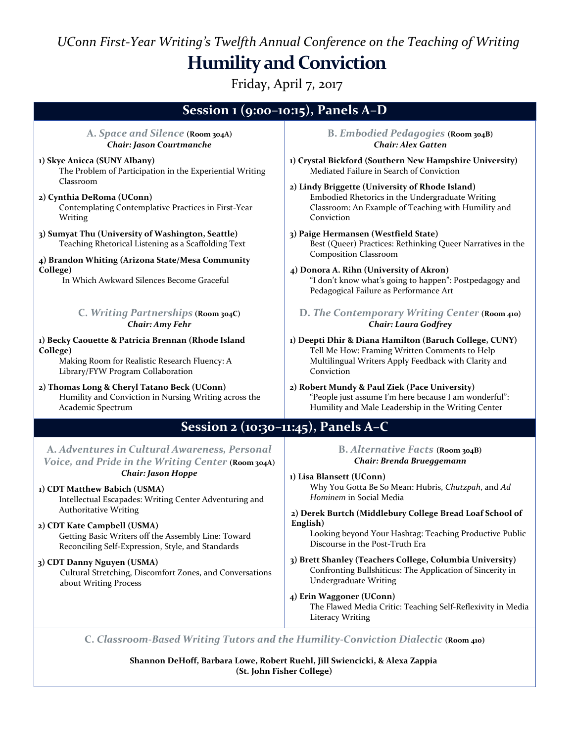*UConn First-Year Writing's Twelfth Annual Conference on the Teaching of Writing* **Humility and Conviction**

Friday, April 7, 2017

| Session $1$ (9:00-10:15), Panels A-D                                                                                                                                                                                  |                                                                                                                                              |
|-----------------------------------------------------------------------------------------------------------------------------------------------------------------------------------------------------------------------|----------------------------------------------------------------------------------------------------------------------------------------------|
| A. Space and Silence (Room 304A)                                                                                                                                                                                      | <b>B. Embodied Pedagogies (Room 304B)</b>                                                                                                    |
| Chair: Jason Courtmanche                                                                                                                                                                                              | <b>Chair: Alex Gatten</b>                                                                                                                    |
| 1) Skye Anicca (SUNY Albany)                                                                                                                                                                                          | 1) Crystal Bickford (Southern New Hampshire University)                                                                                      |
| The Problem of Participation in the Experiential Writing                                                                                                                                                              | Mediated Failure in Search of Conviction                                                                                                     |
| Classroom                                                                                                                                                                                                             | 2) Lindy Briggette (University of Rhode Island)                                                                                              |
| 2) Cynthia DeRoma (UConn)                                                                                                                                                                                             | Embodied Rhetorics in the Undergraduate Writing                                                                                              |
| Contemplating Contemplative Practices in First-Year                                                                                                                                                                   | Classroom: An Example of Teaching with Humility and                                                                                          |
| Writing                                                                                                                                                                                                               | Conviction                                                                                                                                   |
| 3) Sumyat Thu (University of Washington, Seattle)<br>Teaching Rhetorical Listening as a Scaffolding Text<br>4) Brandon Whiting (Arizona State/Mesa Community<br>College)<br>In Which Awkward Silences Become Graceful | 3) Paige Hermansen (Westfield State)<br>Best (Queer) Practices: Rethinking Queer Narratives in the<br><b>Composition Classroom</b>           |
|                                                                                                                                                                                                                       | 4) Donora A. Rihn (University of Akron)<br>"I don't know what's going to happen": Postpedagogy and<br>Pedagogical Failure as Performance Art |
| C. Writing Partnerships (Room 304C)                                                                                                                                                                                   | D. The Contemporary Writing Center (Room 410)                                                                                                |
| <b>Chair: Amy Fehr</b>                                                                                                                                                                                                | <b>Chair: Laura Godfrey</b>                                                                                                                  |
| 1) Becky Caouette & Patricia Brennan (Rhode Island                                                                                                                                                                    | 1) Deepti Dhir & Diana Hamilton (Baruch College, CUNY)                                                                                       |
| College)                                                                                                                                                                                                              | Tell Me How: Framing Written Comments to Help                                                                                                |
| Making Room for Realistic Research Fluency: A                                                                                                                                                                         | Multilingual Writers Apply Feedback with Clarity and                                                                                         |
| Library/FYW Program Collaboration                                                                                                                                                                                     | Conviction                                                                                                                                   |
| 2) Thomas Long & Cheryl Tatano Beck (UConn)                                                                                                                                                                           | 2) Robert Mundy & Paul Ziek (Pace University)                                                                                                |
| Humility and Conviction in Nursing Writing across the                                                                                                                                                                 | "People just assume I'm here because I am wonderful":                                                                                        |
| Academic Spectrum                                                                                                                                                                                                     | Humility and Male Leadership in the Writing Center                                                                                           |
| Session 2 (10:30-11:45), Panels A-C                                                                                                                                                                                   |                                                                                                                                              |
| A. Adventures in Cultural Awareness, Personal<br>Voice, and Pride in the Writing Center (Room 304A)<br><b>Chair: Jason Hoppe</b>                                                                                      | B. Alternative Facts (Room 304B)<br>Chair: Brenda Brueggemann                                                                                |
| 1) CDT Matthew Babich (USMA)<br>Intellectual Escapades: Writing Center Adventuring and                                                                                                                                | 1) Lisa Blansett (UConn)<br>Why You Gotta Be So Mean: Hubris, Chutzpah, and Ad<br>Hominem in Social Media                                    |
| <b>Authoritative Writing</b>                                                                                                                                                                                          | 2) Derek Burtch (Middlebury College Bread Loaf School of                                                                                     |
| 2) CDT Kate Campbell (USMA)                                                                                                                                                                                           | English)                                                                                                                                     |
| Getting Basic Writers off the Assembly Line: Toward                                                                                                                                                                   | Looking beyond Your Hashtag: Teaching Productive Public                                                                                      |
| Reconciling Self-Expression, Style, and Standards                                                                                                                                                                     | Discourse in the Post-Truth Era                                                                                                              |
| 3) CDT Danny Nguyen (USMA)                                                                                                                                                                                            | 3) Brett Shanley (Teachers College, Columbia University)                                                                                     |
| Cultural Stretching, Discomfort Zones, and Conversations                                                                                                                                                              | Confronting Bullshiticus: The Application of Sincerity in                                                                                    |
| about Writing Process                                                                                                                                                                                                 | <b>Undergraduate Writing</b>                                                                                                                 |
|                                                                                                                                                                                                                       | 4) Erin Waggoner (UConn)<br>The Flawed Media Critic: Teaching Self-Reflexivity in Media<br><b>Literacy Writing</b>                           |
| $\mathcal{F}$                                                                                                                                                                                                         |                                                                                                                                              |

**C.** *Classroom-Based Writing Tutors and the Humility-Conviction Dialectic* **(Room 410)**

**Shannon DeHoff, Barbara Lowe, Robert Ruehl, Jill Swiencicki, & Alexa Zappia (St. John Fisher College)**